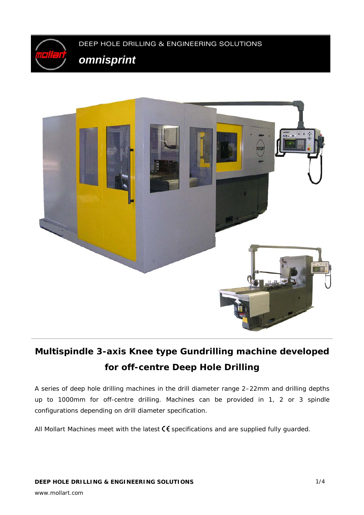



# **Multispindle 3-axis Knee type Gundrilling machine developed for off-centre Deep Hole Drilling**

A series of deep hole drilling machines in the drill diameter range 2–22mm and drilling depths up to 1000mm for off-centre drilling. Machines can be provided in 1, 2 or 3 spindle configurations depending on drill diameter specification.

All Mollart Machines meet with the latest  $\mathsf C \mathsf \mathsf C$  specifications and are supplied fully guarded.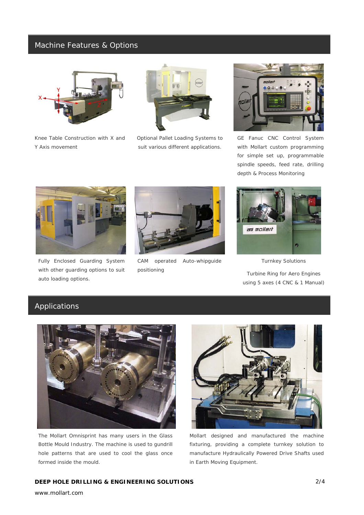## Machine Features & Options



*Knee Table Construction with X and Y Axis movement* 



*Optional Pallet Loading Systems to suit various different applications.* 



*GE Fanuc CNC Control System with Mollart custom programming for simple set up, programmable spindle speeds, feed rate, drilling depth & Process Monitoring* 



*Fully Enclosed Guarding System with other guarding options to suit auto loading options.* 



*CAM operated Auto-whipguide positioning* 



*Turnkey Solutions* 

*Turbine Ring for Aero Engines using 5 axes (4 CNC & 1 Manual)* 

# Applications



*The Mollart Omnisprint has many users in the Glass Bottle Mould Industry. The machine is used to gundrill hole patterns that are used to cool the glass once formed inside the mould.*



*Mollart designed and manufactured the machine fixturing, providing a complete turnkey solution to manufacture Hydraulically Powered Drive Shafts used in Earth Moving Equipment.* 

### **DEEP HOLE DRILLING & ENGINEERING SOLUTIONS**

www.mollart.com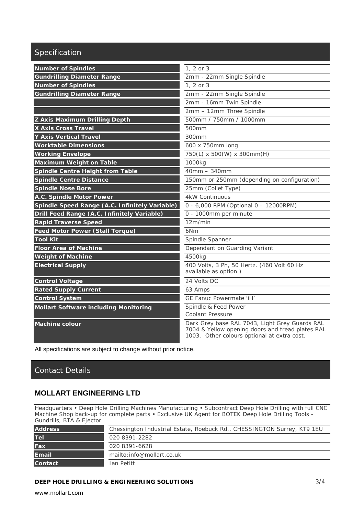# Specification

| <b>Number of Spindles</b>                      | 1, 2 or 3                                                                                                                                         |
|------------------------------------------------|---------------------------------------------------------------------------------------------------------------------------------------------------|
| <b>Gundrilling Diameter Range</b>              | 2mm - 22mm Single Spindle                                                                                                                         |
| <b>Number of Spindles</b>                      | 1, 2 or 3                                                                                                                                         |
| <b>Gundrilling Diameter Range</b>              | 2mm - 22mm Single Spindle                                                                                                                         |
|                                                | 2mm - 16mm Twin Spindle                                                                                                                           |
|                                                | 2mm - 12mm Three Spindle                                                                                                                          |
| <b>Z Axis Maximum Drilling Depth</b>           | 500mm / 750mm / 1000mm                                                                                                                            |
| <b>X Axis Cross Travel</b>                     | 500mm                                                                                                                                             |
| <b>Y Axis Vertical Travel</b>                  | 300mm                                                                                                                                             |
| <b>Worktable Dimensions</b>                    | 600 x 750mm long                                                                                                                                  |
| <b>Working Envelope</b>                        | 750(L) x 500(W) x 300mm(H)                                                                                                                        |
| <b>Maximum Weight on Table</b>                 | 1000kg                                                                                                                                            |
| Spindle Centre Height from Table               | $40mm - 340mm$                                                                                                                                    |
| <b>Spindle Centre Distance</b>                 | 150mm or 250mm (depending on configuration)                                                                                                       |
| <b>Spindle Nose Bore</b>                       | 25mm (Collet Type)                                                                                                                                |
| A.C. Spindle Motor Power                       | <b>4kW Continuous</b>                                                                                                                             |
| Spindle Speed Range (A.C. Infinitely Variable) | 0 - 6,000 RPM (Optional 0 - 12000RPM)                                                                                                             |
| Drill Feed Range (A.C. Infinitely Variable)    | 0 - 1000mm per minute                                                                                                                             |
| <b>Rapid Traverse Speed</b>                    | 12m/min                                                                                                                                           |
| <b>Feed Motor Power (Stall Torque)</b>         | 6N <sub>m</sub>                                                                                                                                   |
| <b>Tool Kit</b>                                | Spindle Spanner                                                                                                                                   |
| <b>Floor Area of Machine</b>                   | Dependant on Guarding Variant                                                                                                                     |
| <b>Weight of Machine</b>                       | 4500kg                                                                                                                                            |
| <b>Electrical Supply</b>                       | 400 Volts, 3 Ph, 50 Hertz. (460 Volt 60 Hz<br>available as option.)                                                                               |
| <b>Control Voltage</b>                         | 24 Volts DC                                                                                                                                       |
| <b>Rated Supply Current</b>                    | 63 Amps                                                                                                                                           |
| <b>Control System</b>                          | GE Fanuc Powermate 'iH'                                                                                                                           |
| <b>Mollart Software including Monitoring</b>   | Spindle & Feed Power                                                                                                                              |
|                                                | Coolant Pressure                                                                                                                                  |
| <b>Machine colour</b>                          | Dark Grey base RAL 7043, Light Grey Guards RAL<br>7004 & Yellow opening doors and tread plates RAL<br>1003. Other colours optional at extra cost. |

All specifications are subject to change without prior notice.

# Contact Details

## **MOLLART ENGINEERING LTD**

Headquarters • Deep Hole Drilling Machines Manufacturing • Subcontract Deep Hole Drilling with full CNC Machine Shop back-up for complete parts • Exclusive UK Agent for BOTEK Deep Hole Drilling Tools - Gundrills, BTA & Ejector

| <b>Address</b> | Chessington Industrial Estate, Roebuck Rd., CHESSINGTON Surrey, KT9 1EU |
|----------------|-------------------------------------------------------------------------|
| <b>Tel</b>     | 020 8391-2282                                                           |
| <b>Fax</b>     | 020 8391-6628                                                           |
| <b>Email</b>   | mailto: info@mollart.co.uk                                              |
| <b>Contact</b> | Ian Petitt                                                              |

### **DEEP HOLE DRILLING & ENGINEERING SOLUTIONS**